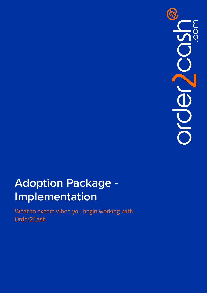

# **Adoption Package - Implementation**

What to expect when you begin working with Order2Cash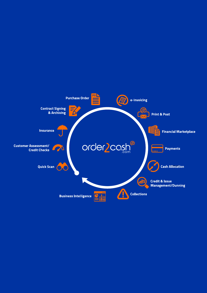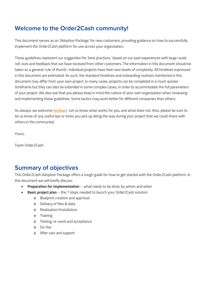# **Welcome to the Order2Cash community!**

This document serves as an 'Adoption Package' for new customers, providing guidance on how to successfully implement the Order2Cash platform for use across your organization.

These guidelines represent our suggestion for 'best practices,' based on our past experiences with large-scale roll-outs and feedback that we have received from other customers. The information in this document should be taken as a general 'rule of thumb'. Individual projects have their own levels of complexity. All timelines expressed in this document are estimated. As such, the standard timelines and onboarding routines mentioned in this document may differ from your own project. In many cases, projects can be completed in a much quicker timeframe but they can also be extended in some complex cases, in order to accommodate the full parameters of your project. We also ask that you please keep in mind the culture of your own organization when reviewing and implementing these guidelines. Some tactics may work better for different companies than others.

As always, we welcome [feedback.](https://www.order2cash.com/support/implementation-feedback-form/) Let us know what works for you, and what does not. Also, please be sure to let us know of any useful tips or tricks you pick up along the way during your project that we could share with others in the community!

Yours,

Team Order2Cash

# **Summary of objectives**

This Order2Cash Adoption Package offers a rough guide for how to get started with the Order2Cash platform. In this document we will briefly discuss:

- **Preparation for implementation** what needs to be done, by whom and when
- **Basic project plan** the 7 steps needed to launch your Order2Cash solution
	- o Blueprint creation and approval
	- o Delivery of files & data
	- o Realization/Installation
	- o Training
	- o Testing, re-work and acceptance
	- o Go-live
	- o After care and support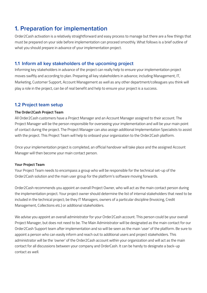# **1. Preparation for implementation**

Order2Cash activation is a relatively straightforward and easy process to manage but there are a few things that must be prepared on your side before implementation can proceed smoothly. What follows is a brief outline of what you should prepare in advance of your implementation project.

## **1.1 Inform all key stakeholders of the upcoming project**

Informing key stakeholders in advance of the project can really help to ensure your implementation project moves swiftly and according to plan. Preparing all key stakeholders in advance; including Management, IT, Marketing, Customer Support, Account Management as well as any other department/colleagues you think will play a role in the project, can be of real benefit and help to ensure your project is a success.

# **1.2 Project team setup**

#### **The Order2Cash Project Team**

All Order2Cash customers have a Project Manager and an Account Manager assigned to their account. The Project Manager will be the person responsible for overseeing your implementation and will be your main point of contact during the project. The Project Manager can also assign additional Implementation Specialists to assist with the project. This Project Team will help to onboard your organization to the Order2Cash platform.

Once your implementation project is completed, an official handover will take place and the assigned Account Manager will then become your main contact person.

#### **Your Project Team**

Your Project Team needs to encompass a group who will be responsible for the technical set-up of the Order2Cash solution and the main user group for the platform's software moving forwards.

Order2Cash recommends you appoint an overall Project Owner, who will act as the main contact person during the implementation project. Your project owner should determine the list of internal stakeholders that need to be included in the technical project; be they IT Managers, owners of a particular discipline (Invoicing, Credit Management, Collections etc.) or additional stakeholders.

We advise you appoint an overall administrator for your Order2Cash account. This person could be your overall Project Manager, but does not need to be. The Main Administrator will be designated as the main contact for our Order2Cash Support team after implementation and so will be seen as the main 'user' of the platform. Be sure to appoint a person who can easily inform and reach out to additional users and project stakeholders. This administrator will be the 'owner' of the Order2Cash account within your organization and will act as the main contact for all discussions between your company and OrderCash. It can be handy to designate a back-up contact as well.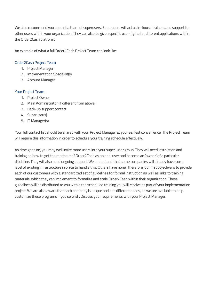We also recommend you appoint a team of superusers. Superusers will act as in-house trainers and support for other users within your organization. They can also be given specific user-rights for different applications within the Order2Cash platform.

An example of what a full Order2Cash Project Team can look like:

#### Order2Cash Project Team

- 1. Project Manager
- 2. Implementation Specialist(s)
- 3. Account Manager

#### Your Project Team

- 1. Project Owner
- 2. Main Administrator (if different from above)
- 3. Back-up support contact
- 4. Superuser(s)
- 5. IT Manager(s)

Your full contact list should be shared with your Project Manager at your earliest convenience. The Project Team will require this information in order to schedule your training schedule effectively.

As time goes on, you may well invite more users into your super-user group. They will need instruction and training on how to get the most out of Order2Cash as an end-user and become an 'owner' of a particular discipline. They will also need ongoing support. We understand that some companies will already have some level of existing infrastructure in place to handle this. Others have none. Therefore, our first objective is to provide each of our customers with a standardized set of guidelines for formal instruction as well as links to training materials, which they can implement to formalize and scale Order2Cash within their organization. These guidelines will be distributed to you within the scheduled training you will receive as part of your implementation project. We are also aware that each company is unique and has different needs, so we are available to help customize these programs if you so wish. Discuss your requirements with your Project Manager.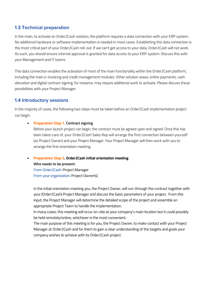## **1.3 Technical preparation**

In the main, to activate an Order2Cash solution, the platform requires a data connection with your ERP system. No additional hardware or software implementation is needed in most cases. Establishing this data connection is the most critical part of your Order2Cash roll-out. If we can't get access to your data, Order2Cash will not work. As such, you should ensure internal approval is granted for data access to your ERP system. Discuss this with your Management and IT teams.

This data connection enables the activation of most of the main functionality within the Order2Cash platform, including the main e-invoicing and credit management modules. Other solution areas; online payments, cash allocation and digital contract signing, for instance, may require additional work to activate. Please discuss these possibilities with your Project Manager.

### **1.4 Introductory sessions**

In the majority of cases, the following two steps must be taken before an Order2Cash implementation project can begin.

#### • **Preparation Step 1. Contract signing**

Before your launch project can begin, the contract must be agreed upon and signed. Once this has been taken care of, your Order2Cash Sales Rep will arrange the first connection between yourself (as Project Owner) and your Project Manager. Your Project Manager will then work with you to arrange the first orientation meeting.

#### • **Preparation Step 2. Order2Cash initial orientation meeting**

**Who needs to be present:** From Order2Cash: Project Manager From your organization: Project Owner(s)

In the initial orientation meeting you, the Project Owner, will run-through the contract together with your (Order2Cash) Project Manager and discuss the basic parameters of your project. From this input, the Project Manager will determine the detailed scope of the project and assemble an appropriate Project Team to handle the implementation.

In many cases, this meeting will occur on-site at your company's main location but it could possibly be held remotely/online; whichever is the most convenient.

The main purpose of this meeting is for you, the Project Owner, to make contact with your Project Manager at Order2Cash and for them to gain a clear understanding of the targets and goals your company wishes to achieve with its Order2Cash project.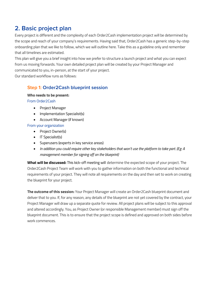# **2. Basic project plan**

Every project is different and the complexity of each Order2Cash implementation project will be determined by the scope and reach of your company's requirements. Having said that, Order2Cash has a generic step-by-step onboarding plan that we like to follow, which we will outline here. Take this as a guideline only and remember that all timelines are estimated.

This plan will give you a brief insight into how we prefer to structure a launch project and what you can expect from us moving forwards. Your own detailed project plan will be created by your Project Manager and communicated to you, in-person, at the start of your project.

Our standard workflow runs as follows:

# **Step 1: Order2Cash blueprint session**

#### **Who needs to be present:**

From Order2Cash

- Project Manager
- Implementation Specialist(s)
- Account Manager (if known)

#### From your organization

- Project Owner(s)
- IT Specialist(s)
- Superusers (experts in key service areas)
- *In addition you could require other key stakeholders that won't use the platform to take part. (Eg: A management member for signing off on the blueprint)*

**What will be discussed:** This kick-off meeting will determine the expected scope of your project. The Order2Cash Project Team will work with you to gather information on both the functional and technical requirements of your project. They will note all requirements on the day and then set to work on creating the blueprint for your project.

**The outcome of this session:** Your Project Manager will create an Order2Cash blueprint document and deliver that to you. If, for any reason, any details of the blueprint are not yet covered by the contract, your Project Manager will draw up a separate quote for review. All project plans will be subject to this approval and altered accordingly. You, as Project Owner (or responsible Management member) must sign off the blueprint document. This is to ensure that the project scope is defined and approved on both sides before work commences.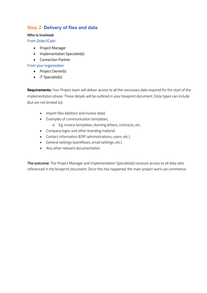# **Step 2: Delivery of files and data**

#### **Who is involved:**

From Order2Cash

- Project Manager
- Implementation Specialist(s)
- Connection Partner

#### From your organization

- Project Owner(s)
- IT Specialist(s)

**Requirements:** Your Project team will deliver access to all the necessary data required for the start of the implementation phase. These details will be outlined in your blueprint document. Data types can include (but are not limited to):

- Import files (debtors and invoice data)
- Examples of communication templates,
	- o Eg: invoice templates, dunning letters, contracts, etc.
- Company logos and other branding material
- Contact information (ERP administrations, users, etc.)
- General settings (workflows, email settings, etc.)
- Any other relevant documentation

**The outcome:** The Project Manager and Implementation Specialist(s) receives access to all data sets referenced in the blueprint document. Once this has happened, the main project work can commence.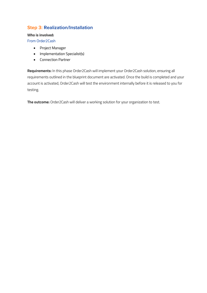# **Step 3: Realization/Installation**

#### **Who is involved:**

From Order2Cash

- Project Manager
- Implementation Specialist(s)
- Connection Partner

**Requirements:** In this phase Order2Cash will implement your Order2Cash solution, ensuring all requirements outlined in the blueprint document are activated. Once the build is completed and your account is activated, Order2Cash will test the environment internally before it is released to you for testing.

**The outcome:** Order2Cash will deliver a working solution for your organization to test.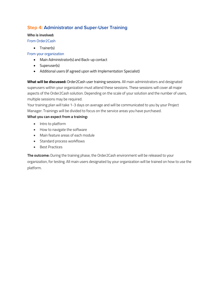# **Step 4: Administrator and Super-User Training**

#### **Who is involved:**

From Order2Cash

• Trainer(s)

#### From your organization

- Main Administrator(s) and Back-up contact
- Superuser(s)
- Additional users (if agreed upon with Implementation Specialist)

**What will be discussed:** Order2Cash user training sessions. All main administrators and designated superusers within your organization must attend these sessions. These sessions will cover all major aspects of the Order2Cash solution. Depending on the scale of your solution and the number of users, multiple sessions may be required.

Your training plan will take 1-3 days on average and will be communicated to you by your Project Manager. Trainings will be divided to focus on the service areas you have purchased.

#### **What you can expect from a training:**

- Intro to platform
- How to navigate the software
- Main feature areas of each module
- Standard process workflows
- Best Practices

**The outcome:** During the training phase, the Order2Cash environment will be released to your organization, for testing. All main users designated by your organization will be trained on how to use the platform.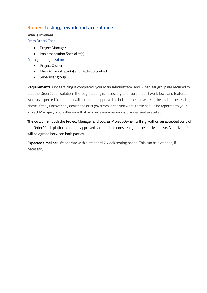## **Step 5: Testing, rework and acceptance**

#### **Who is involved:**

From Order2Cash

- Project Manager
- Implementation Specialist(s)

#### From your organization

- Project Owner
- Main Administrator(s) and Back-up contact
- Superuser group

**Requirements:** Once training is completed, your Main Administrator and Superuser group are required to test the Order2Cash solution. Thorough testing is necessary to ensure that all workflows and features work as expected. Your group will accept and approve the build of the software at the end of the testing phase. If they uncover any deviations or bugs/errors in the software, these should be reported to your Project Manager, who will ensure that any necessary rework is planned and executed.

**The outcome:** Both the Project Manager and you, as Project Owner, will sign-off on an accepted build of the Order2Cash platform and the approved solution becomes ready for the go-live phase. A go-live date will be agreed between both parties.

**Expected timeline:** We operate with a standard 2 week testing phase. This can be extended, if necessary.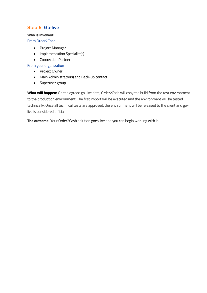## **Step 6: Go-live**

#### **Who is involved:**

From Order2Cash

- Project Manager
- Implementation Specialist(s)
- Connection Partner

#### From your organization

- Project Owner
- Main Administrator(s) and Back-up contact
- Superuser group

**What will happen:** On the agreed go-live date, Order2Cash will copy the build from the test environment to the production environment. The first import will be executed and the environment will be tested technically. Once all technical tests are approved, the environment will be released to the client and golive is considered official.

**The outcome:** Your Order2Cash solution goes live and you can begin working with it.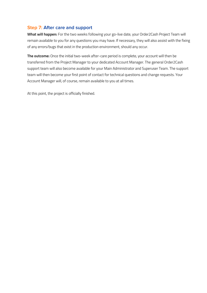## **Step 7: After care and support**

**What will happen:** For the two weeks following your go-live date, your Order2Cash Project Team will remain available to you for any questions you may have. If necessary, they will also assist with the fixing of any errors/bugs that exist in the production environment, should any occur.

**The outcome:** Once the initial two-week after-care period is complete, your account will then be transferred from the Project Manager to your dedicated Account Manager. The general Order2Cash support team will also become available for your Main Administrator and Superuser Team. The support team will then become your first point of contact for technical questions and change requests. Your Account Manager will, of course, remain available to you at all times.

At this point, the project is officially finished.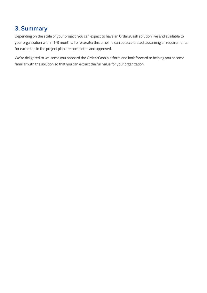# **3. Summary**

Depending on the scale of your project, you can expect to have an Order2Cash solution live and available to your organization within 1-3 months. To reiterate; this timeline can be accelerated, assuming all requirements for each step in the project plan are completed and approved.

We're delighted to welcome you onboard the Order2Cash platform and look forward to helping you become familiar with the solution so that you can extract the full value for your organization.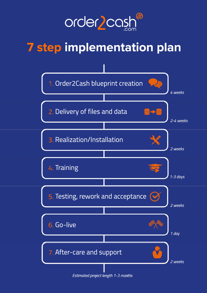

# **7 step implementation plan**